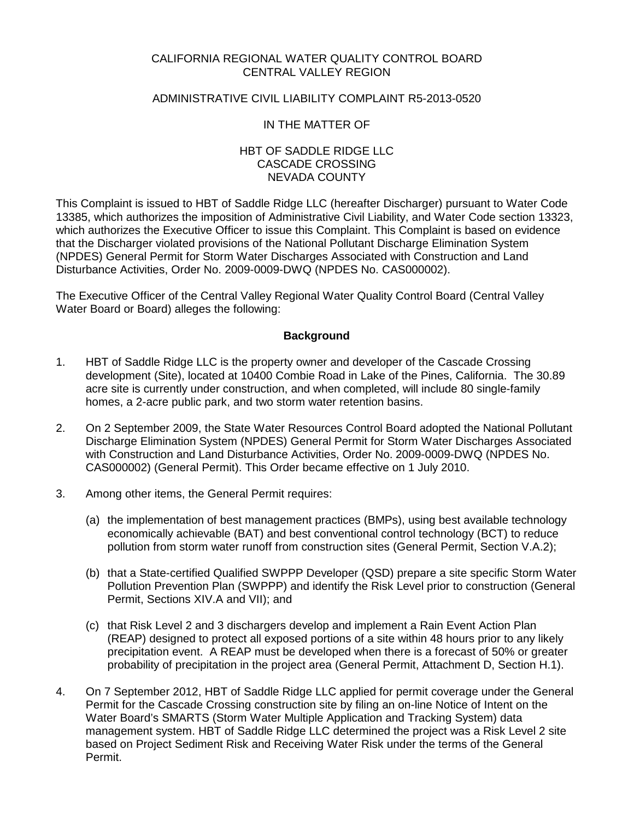#### CALIFORNIA REGIONAL WATER QUALITY CONTROL BOARD CENTRAL VALLEY REGION

### ADMINISTRATIVE CIVIL LIABILITY COMPLAINT R5-2013-0520

#### IN THE MATTER OF

#### HBT OF SADDLE RIDGE LLC CASCADE CROSSING NEVADA COUNTY

This Complaint is issued to HBT of Saddle Ridge LLC (hereafter Discharger) pursuant to Water Code 13385, which authorizes the imposition of Administrative Civil Liability, and Water Code section 13323, which authorizes the Executive Officer to issue this Complaint. This Complaint is based on evidence that the Discharger violated provisions of the National Pollutant Discharge Elimination System (NPDES) General Permit for Storm Water Discharges Associated with Construction and Land Disturbance Activities, Order No. 2009-0009-DWQ (NPDES No. CAS000002).

The Executive Officer of the Central Valley Regional Water Quality Control Board (Central Valley Water Board or Board) alleges the following:

#### **Background**

- 1. HBT of Saddle Ridge LLC is the property owner and developer of the Cascade Crossing development (Site), located at 10400 Combie Road in Lake of the Pines, California. The 30.89 acre site is currently under construction, and when completed, will include 80 single-family homes, a 2-acre public park, and two storm water retention basins.
- 2. On 2 September 2009, the State Water Resources Control Board adopted the National Pollutant Discharge Elimination System (NPDES) General Permit for Storm Water Discharges Associated with Construction and Land Disturbance Activities, Order No. 2009-0009-DWQ (NPDES No. CAS000002) (General Permit). This Order became effective on 1 July 2010.
- 3. Among other items, the General Permit requires:
	- (a) the implementation of best management practices (BMPs), using best available technology economically achievable (BAT) and best conventional control technology (BCT) to reduce pollution from storm water runoff from construction sites (General Permit, Section V.A.2);
	- (b) that a State-certified Qualified SWPPP Developer (QSD) prepare a site specific Storm Water Pollution Prevention Plan (SWPPP) and identify the Risk Level prior to construction (General Permit, Sections XIV.A and VII); and
	- (c) that Risk Level 2 and 3 dischargers develop and implement a Rain Event Action Plan (REAP) designed to protect all exposed portions of a site within 48 hours prior to any likely precipitation event. A REAP must be developed when there is a forecast of 50% or greater probability of precipitation in the project area (General Permit, Attachment D, Section H.1).
- 4. On 7 September 2012, HBT of Saddle Ridge LLC applied for permit coverage under the General Permit for the Cascade Crossing construction site by filing an on-line Notice of Intent on the Water Board's SMARTS (Storm Water Multiple Application and Tracking System) data management system. HBT of Saddle Ridge LLC determined the project was a Risk Level 2 site based on Project Sediment Risk and Receiving Water Risk under the terms of the General Permit.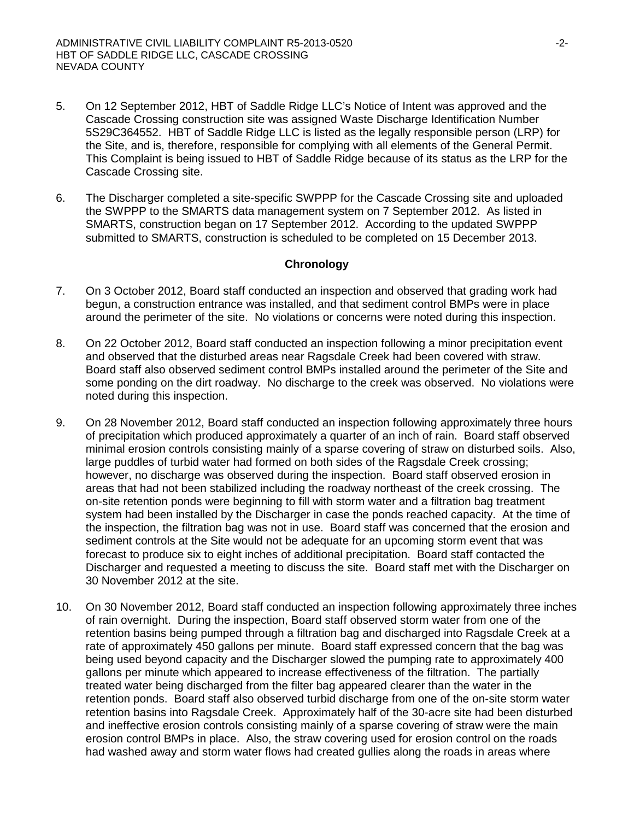- 5. On 12 September 2012, HBT of Saddle Ridge LLC's Notice of Intent was approved and the Cascade Crossing construction site was assigned Waste Discharge Identification Number 5S29C364552. HBT of Saddle Ridge LLC is listed as the legally responsible person (LRP) for the Site, and is, therefore, responsible for complying with all elements of the General Permit. This Complaint is being issued to HBT of Saddle Ridge because of its status as the LRP for the Cascade Crossing site.
- 6. The Discharger completed a site-specific SWPPP for the Cascade Crossing site and uploaded the SWPPP to the SMARTS data management system on 7 September 2012. As listed in SMARTS, construction began on 17 September 2012. According to the updated SWPPP submitted to SMARTS, construction is scheduled to be completed on 15 December 2013.

#### **Chronology**

- 7. On 3 October 2012, Board staff conducted an inspection and observed that grading work had begun, a construction entrance was installed, and that sediment control BMPs were in place around the perimeter of the site. No violations or concerns were noted during this inspection.
- 8. On 22 October 2012, Board staff conducted an inspection following a minor precipitation event and observed that the disturbed areas near Ragsdale Creek had been covered with straw. Board staff also observed sediment control BMPs installed around the perimeter of the Site and some ponding on the dirt roadway. No discharge to the creek was observed. No violations were noted during this inspection.
- 9. On 28 November 2012, Board staff conducted an inspection following approximately three hours of precipitation which produced approximately a quarter of an inch of rain. Board staff observed minimal erosion controls consisting mainly of a sparse covering of straw on disturbed soils. Also, large puddles of turbid water had formed on both sides of the Ragsdale Creek crossing; however, no discharge was observed during the inspection. Board staff observed erosion in areas that had not been stabilized including the roadway northeast of the creek crossing. The on-site retention ponds were beginning to fill with storm water and a filtration bag treatment system had been installed by the Discharger in case the ponds reached capacity. At the time of the inspection, the filtration bag was not in use. Board staff was concerned that the erosion and sediment controls at the Site would not be adequate for an upcoming storm event that was forecast to produce six to eight inches of additional precipitation. Board staff contacted the Discharger and requested a meeting to discuss the site. Board staff met with the Discharger on 30 November 2012 at the site.
- 10. On 30 November 2012, Board staff conducted an inspection following approximately three inches of rain overnight. During the inspection, Board staff observed storm water from one of the retention basins being pumped through a filtration bag and discharged into Ragsdale Creek at a rate of approximately 450 gallons per minute. Board staff expressed concern that the bag was being used beyond capacity and the Discharger slowed the pumping rate to approximately 400 gallons per minute which appeared to increase effectiveness of the filtration. The partially treated water being discharged from the filter bag appeared clearer than the water in the retention ponds. Board staff also observed turbid discharge from one of the on-site storm water retention basins into Ragsdale Creek. Approximately half of the 30-acre site had been disturbed and ineffective erosion controls consisting mainly of a sparse covering of straw were the main erosion control BMPs in place. Also, the straw covering used for erosion control on the roads had washed away and storm water flows had created gullies along the roads in areas where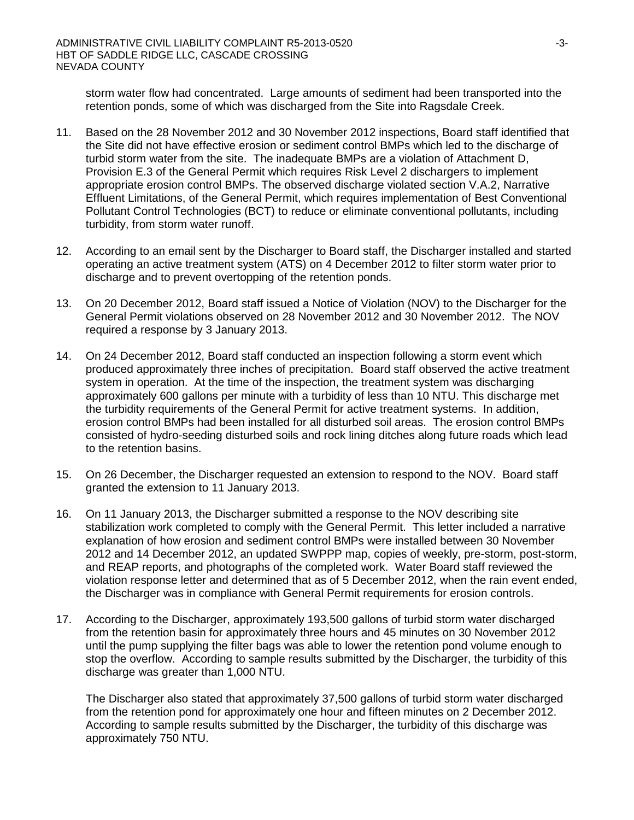storm water flow had concentrated. Large amounts of sediment had been transported into the retention ponds, some of which was discharged from the Site into Ragsdale Creek.

- 11. Based on the 28 November 2012 and 30 November 2012 inspections, Board staff identified that the Site did not have effective erosion or sediment control BMPs which led to the discharge of turbid storm water from the site. The inadequate BMPs are a violation of Attachment D, Provision E.3 of the General Permit which requires Risk Level 2 dischargers to implement appropriate erosion control BMPs. The observed discharge violated section V.A.2, Narrative Effluent Limitations, of the General Permit, which requires implementation of Best Conventional Pollutant Control Technologies (BCT) to reduce or eliminate conventional pollutants, including turbidity, from storm water runoff.
- 12. According to an email sent by the Discharger to Board staff, the Discharger installed and started operating an active treatment system (ATS) on 4 December 2012 to filter storm water prior to discharge and to prevent overtopping of the retention ponds.
- 13. On 20 December 2012, Board staff issued a Notice of Violation (NOV) to the Discharger for the General Permit violations observed on 28 November 2012 and 30 November 2012. The NOV required a response by 3 January 2013.
- 14. On 24 December 2012, Board staff conducted an inspection following a storm event which produced approximately three inches of precipitation. Board staff observed the active treatment system in operation. At the time of the inspection, the treatment system was discharging approximately 600 gallons per minute with a turbidity of less than 10 NTU. This discharge met the turbidity requirements of the General Permit for active treatment systems. In addition, erosion control BMPs had been installed for all disturbed soil areas. The erosion control BMPs consisted of hydro-seeding disturbed soils and rock lining ditches along future roads which lead to the retention basins.
- 15. On 26 December, the Discharger requested an extension to respond to the NOV. Board staff granted the extension to 11 January 2013.
- 16. On 11 January 2013, the Discharger submitted a response to the NOV describing site stabilization work completed to comply with the General Permit. This letter included a narrative explanation of how erosion and sediment control BMPs were installed between 30 November 2012 and 14 December 2012, an updated SWPPP map, copies of weekly, pre-storm, post-storm, and REAP reports, and photographs of the completed work. Water Board staff reviewed the violation response letter and determined that as of 5 December 2012, when the rain event ended, the Discharger was in compliance with General Permit requirements for erosion controls.
- 17. According to the Discharger, approximately 193,500 gallons of turbid storm water discharged from the retention basin for approximately three hours and 45 minutes on 30 November 2012 until the pump supplying the filter bags was able to lower the retention pond volume enough to stop the overflow. According to sample results submitted by the Discharger, the turbidity of this discharge was greater than 1,000 NTU.

The Discharger also stated that approximately 37,500 gallons of turbid storm water discharged from the retention pond for approximately one hour and fifteen minutes on 2 December 2012. According to sample results submitted by the Discharger, the turbidity of this discharge was approximately 750 NTU.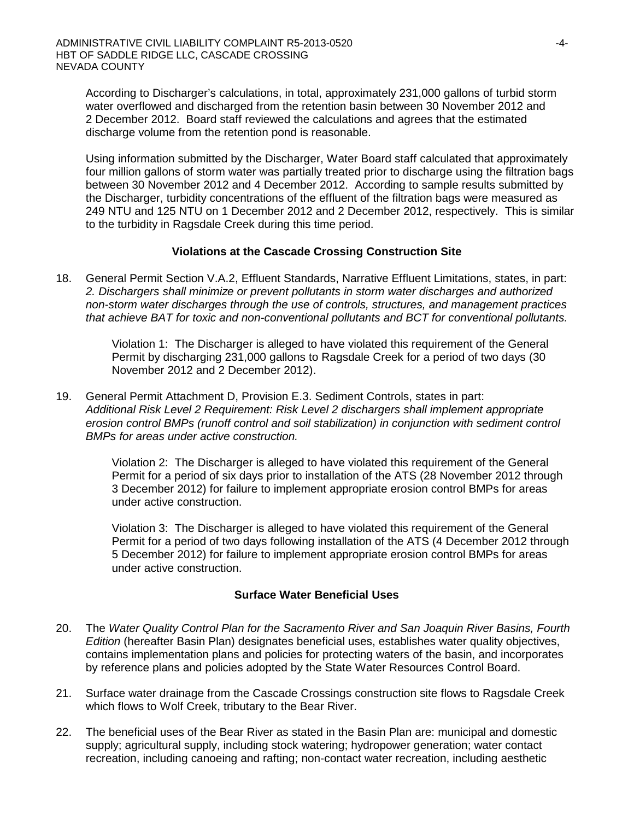According to Discharger's calculations, in total, approximately 231,000 gallons of turbid storm water overflowed and discharged from the retention basin between 30 November 2012 and 2 December 2012. Board staff reviewed the calculations and agrees that the estimated discharge volume from the retention pond is reasonable.

Using information submitted by the Discharger, Water Board staff calculated that approximately four million gallons of storm water was partially treated prior to discharge using the filtration bags between 30 November 2012 and 4 December 2012. According to sample results submitted by the Discharger, turbidity concentrations of the effluent of the filtration bags were measured as 249 NTU and 125 NTU on 1 December 2012 and 2 December 2012, respectively. This is similar to the turbidity in Ragsdale Creek during this time period.

## **Violations at the Cascade Crossing Construction Site**

18. General Permit Section V.A.2, Effluent Standards, Narrative Effluent Limitations, states, in part: *2. Dischargers shall minimize or prevent pollutants in storm water discharges and authorized non-storm water discharges through the use of controls, structures, and management practices that achieve BAT for toxic and non-conventional pollutants and BCT for conventional pollutants.*

> Violation 1: The Discharger is alleged to have violated this requirement of the General Permit by discharging 231,000 gallons to Ragsdale Creek for a period of two days (30 November 2012 and 2 December 2012).

19. General Permit Attachment D, Provision E.3. Sediment Controls, states in part: *Additional Risk Level 2 Requirement: Risk Level 2 dischargers shall implement appropriate erosion control BMPs (runoff control and soil stabilization) in conjunction with sediment control BMPs for areas under active construction.* 

> Violation 2: The Discharger is alleged to have violated this requirement of the General Permit for a period of six days prior to installation of the ATS (28 November 2012 through 3 December 2012) for failure to implement appropriate erosion control BMPs for areas under active construction.

Violation 3: The Discharger is alleged to have violated this requirement of the General Permit for a period of two days following installation of the ATS (4 December 2012 through 5 December 2012) for failure to implement appropriate erosion control BMPs for areas under active construction.

#### **Surface Water Beneficial Uses**

- 20. The *Water Quality Control Plan for the Sacramento River and San Joaquin River Basins, Fourth Edition* (hereafter Basin Plan) designates beneficial uses, establishes water quality objectives, contains implementation plans and policies for protecting waters of the basin, and incorporates by reference plans and policies adopted by the State Water Resources Control Board.
- 21. Surface water drainage from the Cascade Crossings construction site flows to Ragsdale Creek which flows to Wolf Creek, tributary to the Bear River.
- 22. The beneficial uses of the Bear River as stated in the Basin Plan are: municipal and domestic supply; agricultural supply, including stock watering; hydropower generation; water contact recreation, including canoeing and rafting; non-contact water recreation, including aesthetic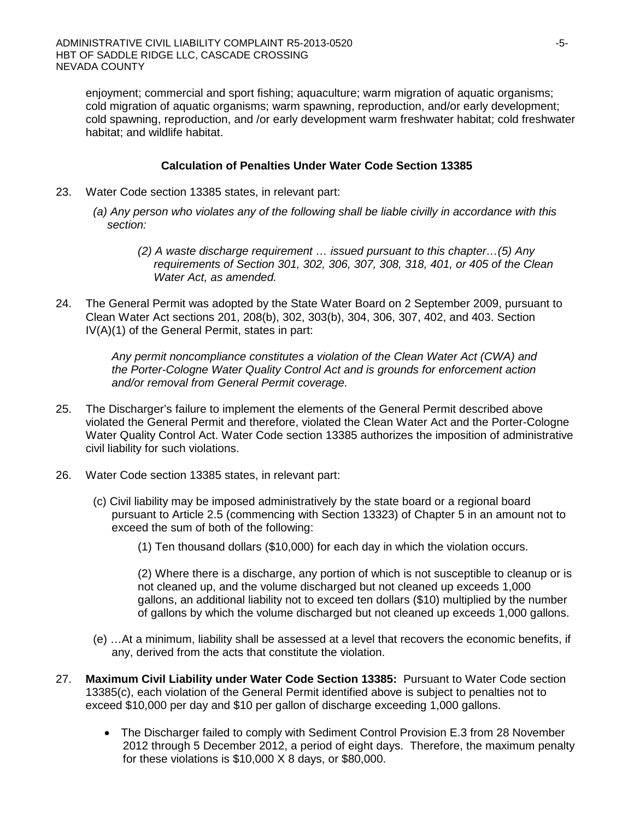enjoyment; commercial and sport fishing; aquaculture; warm migration of aquatic organisms; cold migration of aquatic organisms; warm spawning, reproduction, and/or early development; cold spawning, reproduction, and /or early development warm freshwater habitat; cold freshwater habitat; and wildlife habitat.

## **Calculation of Penalties Under Water Code Section 13385**

- 23. Water Code section 13385 states, in relevant part:
	- *(a) Any person who violates any of the following shall be liable civilly in accordance with this section:*
		- *(2) A waste discharge requirement … issued pursuant to this chapter…(5) Any requirements of Section 301, 302, 306, 307, 308, 318, 401, or 405 of the Clean Water Act, as amended.*
- 24. The General Permit was adopted by the State Water Board on 2 September 2009, pursuant to Clean Water Act sections 201, 208(b), 302, 303(b), 304, 306, 307, 402, and 403. Section IV(A)(1) of the General Permit, states in part:

*Any permit noncompliance constitutes a violation of the Clean Water Act (CWA) and the Porter-Cologne Water Quality Control Act and is grounds for enforcement action and/or removal from General Permit coverage.*

- 25. The Discharger's failure to implement the elements of the General Permit described above violated the General Permit and therefore, violated the Clean Water Act and the Porter-Cologne Water Quality Control Act. Water Code section 13385 authorizes the imposition of administrative civil liability for such violations.
- 26. Water Code section 13385 states, in relevant part:
	- (c) Civil liability may be imposed administratively by the state board or a regional board pursuant to Article 2.5 (commencing with Section 13323) of Chapter 5 in an amount not to exceed the sum of both of the following:
		- (1) Ten thousand dollars (\$10,000) for each day in which the violation occurs.

(2) Where there is a discharge, any portion of which is not susceptible to cleanup or is not cleaned up, and the volume discharged but not cleaned up exceeds 1,000 gallons, an additional liability not to exceed ten dollars (\$10) multiplied by the number of gallons by which the volume discharged but not cleaned up exceeds 1,000 gallons.

- (e) …At a minimum, liability shall be assessed at a level that recovers the economic benefits, if any, derived from the acts that constitute the violation.
- 27. **Maximum Civil Liability under Water Code Section 13385:** Pursuant to Water Code section 13385(c), each violation of the General Permit identified above is subject to penalties not to exceed \$10,000 per day and \$10 per gallon of discharge exceeding 1,000 gallons.
	- The Discharger failed to comply with Sediment Control Provision E.3 from 28 November 2012 through 5 December 2012, a period of eight days. Therefore, the maximum penalty for these violations is \$10,000 X 8 days, or \$80,000.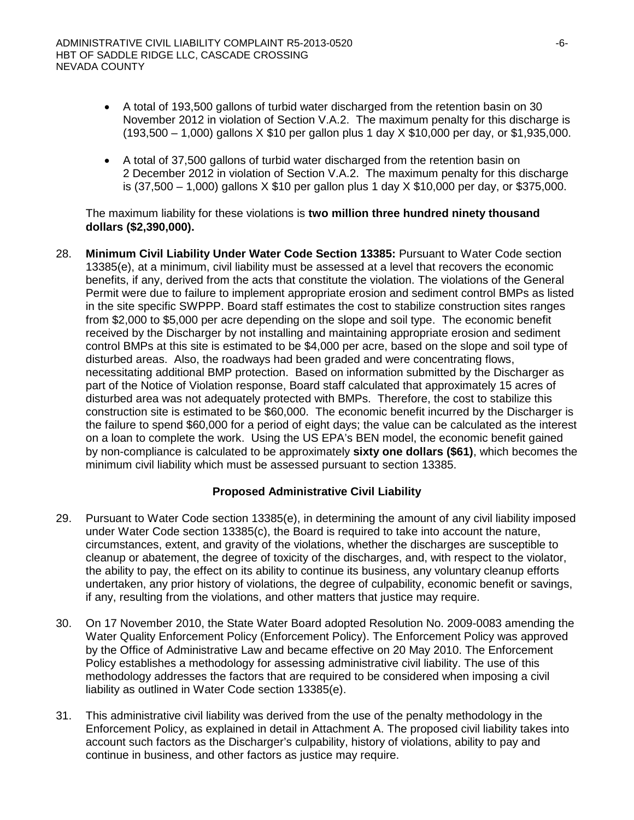- A total of 193,500 gallons of turbid water discharged from the retention basin on 30 November 2012 in violation of Section V.A.2. The maximum penalty for this discharge is (193,500 – 1,000) gallons X \$10 per gallon plus 1 day X \$10,000 per day, or \$1,935,000.
- A total of 37,500 gallons of turbid water discharged from the retention basin on 2 December 2012 in violation of Section V.A.2. The maximum penalty for this discharge is (37,500 – 1,000) gallons X \$10 per gallon plus 1 day X \$10,000 per day, or \$375,000.

The maximum liability for these violations is **two million three hundred ninety thousand dollars (\$2,390,000).**

28. **Minimum Civil Liability Under Water Code Section 13385:** Pursuant to Water Code section 13385(e), at a minimum, civil liability must be assessed at a level that recovers the economic benefits, if any, derived from the acts that constitute the violation. The violations of the General Permit were due to failure to implement appropriate erosion and sediment control BMPs as listed in the site specific SWPPP. Board staff estimates the cost to stabilize construction sites ranges from \$2,000 to \$5,000 per acre depending on the slope and soil type. The economic benefit received by the Discharger by not installing and maintaining appropriate erosion and sediment control BMPs at this site is estimated to be \$4,000 per acre, based on the slope and soil type of disturbed areas. Also, the roadways had been graded and were concentrating flows, necessitating additional BMP protection. Based on information submitted by the Discharger as part of the Notice of Violation response, Board staff calculated that approximately 15 acres of disturbed area was not adequately protected with BMPs. Therefore, the cost to stabilize this construction site is estimated to be \$60,000. The economic benefit incurred by the Discharger is the failure to spend \$60,000 for a period of eight days; the value can be calculated as the interest on a loan to complete the work. Using the US EPA's BEN model, the economic benefit gained by non-compliance is calculated to be approximately **sixty one dollars (\$61)**, which becomes the minimum civil liability which must be assessed pursuant to section 13385.

## **Proposed Administrative Civil Liability**

- 29. Pursuant to Water Code section 13385(e), in determining the amount of any civil liability imposed under Water Code section 13385(c), the Board is required to take into account the nature, circumstances, extent, and gravity of the violations, whether the discharges are susceptible to cleanup or abatement, the degree of toxicity of the discharges, and, with respect to the violator, the ability to pay, the effect on its ability to continue its business, any voluntary cleanup efforts undertaken, any prior history of violations, the degree of culpability, economic benefit or savings, if any, resulting from the violations, and other matters that justice may require.
- 30. On 17 November 2010, the State Water Board adopted Resolution No. 2009-0083 amending the Water Quality Enforcement Policy (Enforcement Policy). The Enforcement Policy was approved by the Office of Administrative Law and became effective on 20 May 2010. The Enforcement Policy establishes a methodology for assessing administrative civil liability. The use of this methodology addresses the factors that are required to be considered when imposing a civil liability as outlined in Water Code section 13385(e).
- 31. This administrative civil liability was derived from the use of the penalty methodology in the Enforcement Policy, as explained in detail in Attachment A. The proposed civil liability takes into account such factors as the Discharger's culpability, history of violations, ability to pay and continue in business, and other factors as justice may require.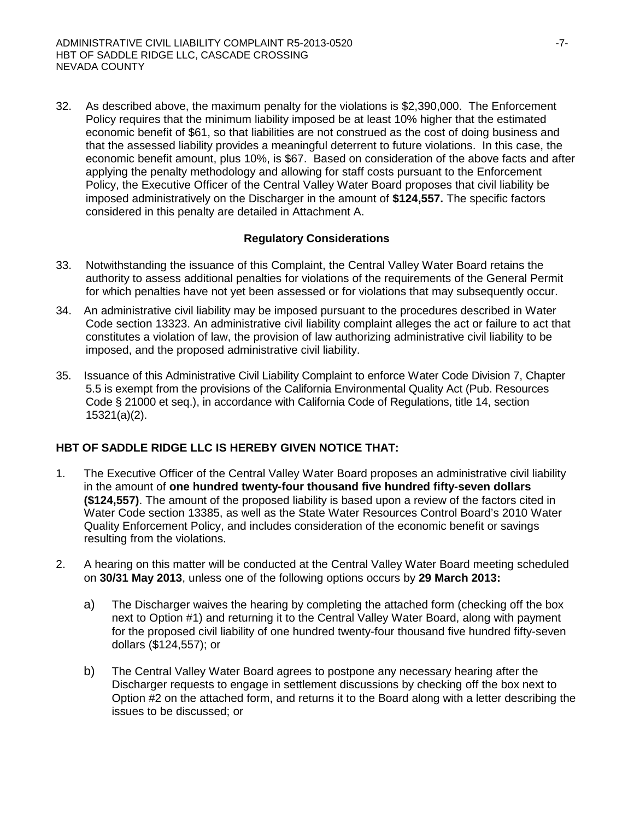32. As described above, the maximum penalty for the violations is \$2,390,000. The Enforcement Policy requires that the minimum liability imposed be at least 10% higher that the estimated economic benefit of \$61, so that liabilities are not construed as the cost of doing business and that the assessed liability provides a meaningful deterrent to future violations. In this case, the economic benefit amount, plus 10%, is \$67. Based on consideration of the above facts and after applying the penalty methodology and allowing for staff costs pursuant to the Enforcement Policy, the Executive Officer of the Central Valley Water Board proposes that civil liability be imposed administratively on the Discharger in the amount of **\$124,557.** The specific factors considered in this penalty are detailed in Attachment A.

# **Regulatory Considerations**

- 33. Notwithstanding the issuance of this Complaint, the Central Valley Water Board retains the authority to assess additional penalties for violations of the requirements of the General Permit for which penalties have not yet been assessed or for violations that may subsequently occur.
- 34. An administrative civil liability may be imposed pursuant to the procedures described in Water Code section 13323. An administrative civil liability complaint alleges the act or failure to act that constitutes a violation of law, the provision of law authorizing administrative civil liability to be imposed, and the proposed administrative civil liability.
- 35. Issuance of this Administrative Civil Liability Complaint to enforce Water Code Division 7, Chapter 5.5 is exempt from the provisions of the California Environmental Quality Act (Pub. Resources Code § 21000 et seq.), in accordance with California Code of Regulations, title 14, section 15321(a)(2).

# **HBT OF SADDLE RIDGE LLC IS HEREBY GIVEN NOTICE THAT:**

- 1. The Executive Officer of the Central Valley Water Board proposes an administrative civil liability in the amount of **one hundred twenty-four thousand five hundred fifty-seven dollars (\$124,557)**. The amount of the proposed liability is based upon a review of the factors cited in Water Code section 13385, as well as the State Water Resources Control Board's 2010 Water Quality Enforcement Policy, and includes consideration of the economic benefit or savings resulting from the violations.
- 2. A hearing on this matter will be conducted at the Central Valley Water Board meeting scheduled on **30/31 May 2013**, unless one of the following options occurs by **29 March 2013:**
	- a) The Discharger waives the hearing by completing the attached form (checking off the box next to Option #1) and returning it to the Central Valley Water Board, along with payment for the proposed civil liability of one hundred twenty-four thousand five hundred fifty-seven dollars (\$124,557); or
	- b) The Central Valley Water Board agrees to postpone any necessary hearing after the Discharger requests to engage in settlement discussions by checking off the box next to Option #2 on the attached form, and returns it to the Board along with a letter describing the issues to be discussed; or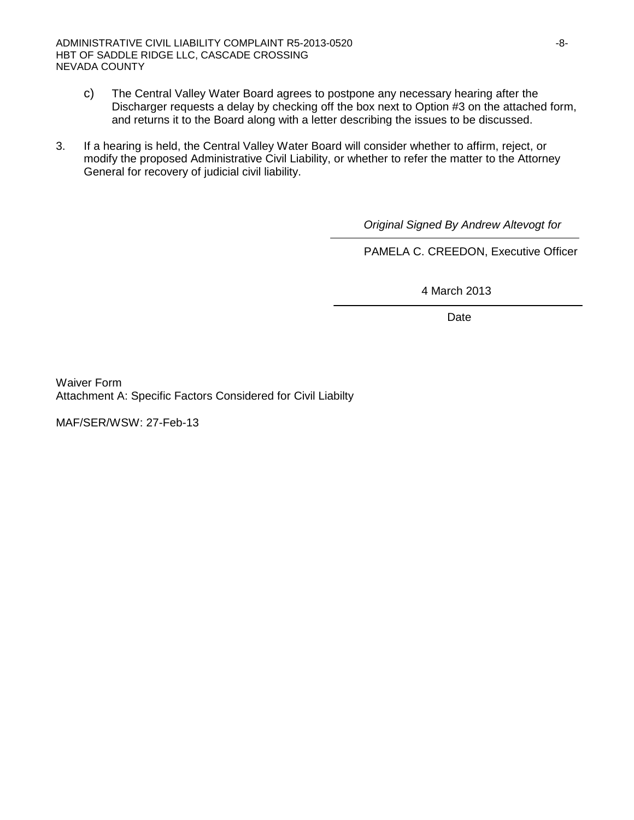- c) The Central Valley Water Board agrees to postpone any necessary hearing after the Discharger requests a delay by checking off the box next to Option #3 on the attached form, and returns it to the Board along with a letter describing the issues to be discussed.
- 3. If a hearing is held, the Central Valley Water Board will consider whether to affirm, reject, or modify the proposed Administrative Civil Liability, or whether to refer the matter to the Attorney General for recovery of judicial civil liability.

 *Original Signed By Andrew Altevogt for*

PAMELA C. CREEDON, Executive Officer

4 March 2013

Date

Waiver Form Attachment A: Specific Factors Considered for Civil Liabilty

MAF/SER/WSW: 27-Feb-13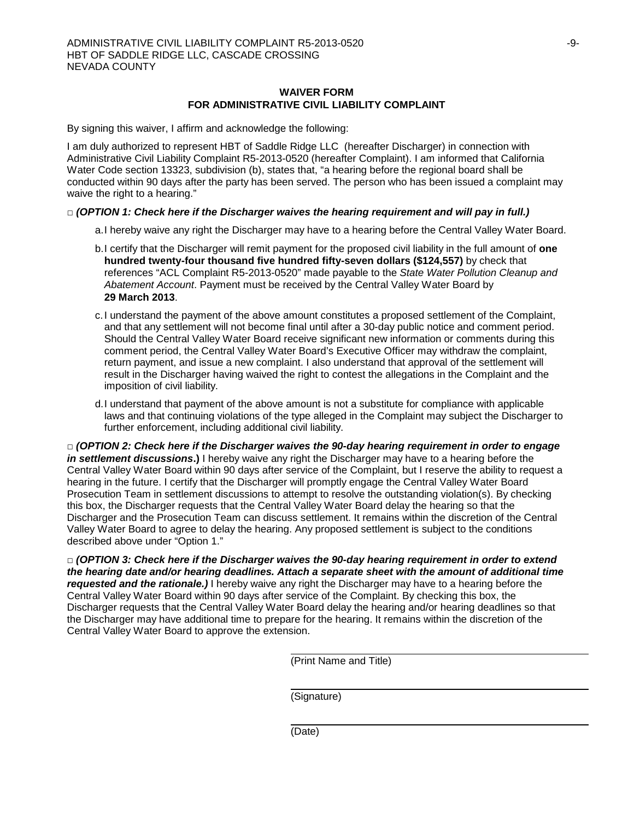#### **WAIVER FORM FOR ADMINISTRATIVE CIVIL LIABILITY COMPLAINT**

By signing this waiver, I affirm and acknowledge the following:

I am duly authorized to represent HBT of Saddle Ridge LLC (hereafter Discharger) in connection with Administrative Civil Liability Complaint R5-2013-0520 (hereafter Complaint). I am informed that California Water Code section 13323, subdivision (b), states that, "a hearing before the regional board shall be conducted within 90 days after the party has been served. The person who has been issued a complaint may waive the right to a hearing."

#### **□** *(OPTION 1: Check here if the Discharger waives the hearing requirement and will pay in full.)*

- a.I hereby waive any right the Discharger may have to a hearing before the Central Valley Water Board.
- b.I certify that the Discharger will remit payment for the proposed civil liability in the full amount of **one hundred twenty-four thousand five hundred fifty-seven dollars (\$124,557)** by check that references "ACL Complaint R5-2013-0520" made payable to the *State Water Pollution Cleanup and Abatement Account*. Payment must be received by the Central Valley Water Board by **29 March 2013**.
- c.I understand the payment of the above amount constitutes a proposed settlement of the Complaint, and that any settlement will not become final until after a 30-day public notice and comment period. Should the Central Valley Water Board receive significant new information or comments during this comment period, the Central Valley Water Board's Executive Officer may withdraw the complaint, return payment, and issue a new complaint. I also understand that approval of the settlement will result in the Discharger having waived the right to contest the allegations in the Complaint and the imposition of civil liability.
- d.I understand that payment of the above amount is not a substitute for compliance with applicable laws and that continuing violations of the type alleged in the Complaint may subject the Discharger to further enforcement, including additional civil liability.

**□** *(OPTION 2: Check here if the Discharger waives the 90-day hearing requirement in order to engage in settlement discussions***.)** I hereby waive any right the Discharger may have to a hearing before the Central Valley Water Board within 90 days after service of the Complaint, but I reserve the ability to request a hearing in the future. I certify that the Discharger will promptly engage the Central Valley Water Board Prosecution Team in settlement discussions to attempt to resolve the outstanding violation(s). By checking this box, the Discharger requests that the Central Valley Water Board delay the hearing so that the Discharger and the Prosecution Team can discuss settlement. It remains within the discretion of the Central Valley Water Board to agree to delay the hearing. Any proposed settlement is subject to the conditions described above under "Option 1."

**□** *(OPTION 3: Check here if the Discharger waives the 90-day hearing requirement in order to extend the hearing date and/or hearing deadlines. Attach a separate sheet with the amount of additional time requested and the rationale.)* I hereby waive any right the Discharger may have to a hearing before the Central Valley Water Board within 90 days after service of the Complaint. By checking this box, the Discharger requests that the Central Valley Water Board delay the hearing and/or hearing deadlines so that the Discharger may have additional time to prepare for the hearing. It remains within the discretion of the Central Valley Water Board to approve the extension.

(Print Name and Title)

(Signature)

(Date)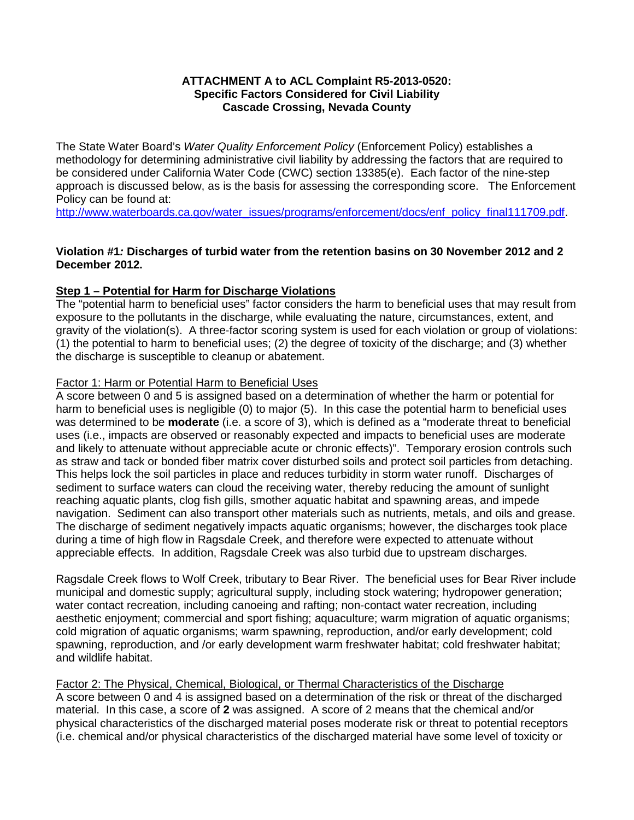### **ATTACHMENT A to ACL Complaint R5-2013-0520: Specific Factors Considered for Civil Liability Cascade Crossing, Nevada County**

The State Water Board's *Water Quality Enforcement Policy* (Enforcement Policy) establishes a methodology for determining administrative civil liability by addressing the factors that are required to be considered under California Water Code (CWC) section 13385(e). Each factor of the nine-step approach is discussed below, as is the basis for assessing the corresponding score. The Enforcement Policy can be found at:

[http://www.waterboards.ca.gov/water\\_issues/programs/enforcement/docs/enf\\_policy\\_final111709.pdf.](http://www.waterboards.ca.gov/water_issues/programs/enforcement/docs/enf_policy_final111709.pdf)

## **Violation #1***:* **Discharges of turbid water from the retention basins on 30 November 2012 and 2 December 2012.**

## **Step 1 – Potential for Harm for Discharge Violations**

The "potential harm to beneficial uses" factor considers the harm to beneficial uses that may result from exposure to the pollutants in the discharge, while evaluating the nature, circumstances, extent, and gravity of the violation(s). A three-factor scoring system is used for each violation or group of violations: (1) the potential to harm to beneficial uses; (2) the degree of toxicity of the discharge; and (3) whether the discharge is susceptible to cleanup or abatement.

#### Factor 1: Harm or Potential Harm to Beneficial Uses

A score between 0 and 5 is assigned based on a determination of whether the harm or potential for harm to beneficial uses is negligible (0) to major (5). In this case the potential harm to beneficial uses was determined to be **moderate** (i.e. a score of 3), which is defined as a "moderate threat to beneficial uses (i.e., impacts are observed or reasonably expected and impacts to beneficial uses are moderate and likely to attenuate without appreciable acute or chronic effects)". Temporary erosion controls such as straw and tack or bonded fiber matrix cover disturbed soils and protect soil particles from detaching. This helps lock the soil particles in place and reduces turbidity in storm water runoff. Discharges of sediment to surface waters can cloud the receiving water, thereby reducing the amount of sunlight reaching aquatic plants, clog fish gills, smother aquatic habitat and spawning areas, and impede navigation. Sediment can also transport other materials such as nutrients, metals, and oils and grease. The discharge of sediment negatively impacts aquatic organisms; however, the discharges took place during a time of high flow in Ragsdale Creek, and therefore were expected to attenuate without appreciable effects. In addition, Ragsdale Creek was also turbid due to upstream discharges.

Ragsdale Creek flows to Wolf Creek, tributary to Bear River. The beneficial uses for Bear River include municipal and domestic supply; agricultural supply, including stock watering; hydropower generation; water contact recreation, including canoeing and rafting; non-contact water recreation, including aesthetic enjoyment; commercial and sport fishing; aquaculture; warm migration of aquatic organisms; cold migration of aquatic organisms; warm spawning, reproduction, and/or early development; cold spawning, reproduction, and /or early development warm freshwater habitat; cold freshwater habitat; and wildlife habitat.

## Factor 2: The Physical, Chemical, Biological, or Thermal Characteristics of the Discharge

A score between 0 and 4 is assigned based on a determination of the risk or threat of the discharged material. In this case, a score of **2** was assigned. A score of 2 means that the chemical and/or physical characteristics of the discharged material poses moderate risk or threat to potential receptors (i.e. chemical and/or physical characteristics of the discharged material have some level of toxicity or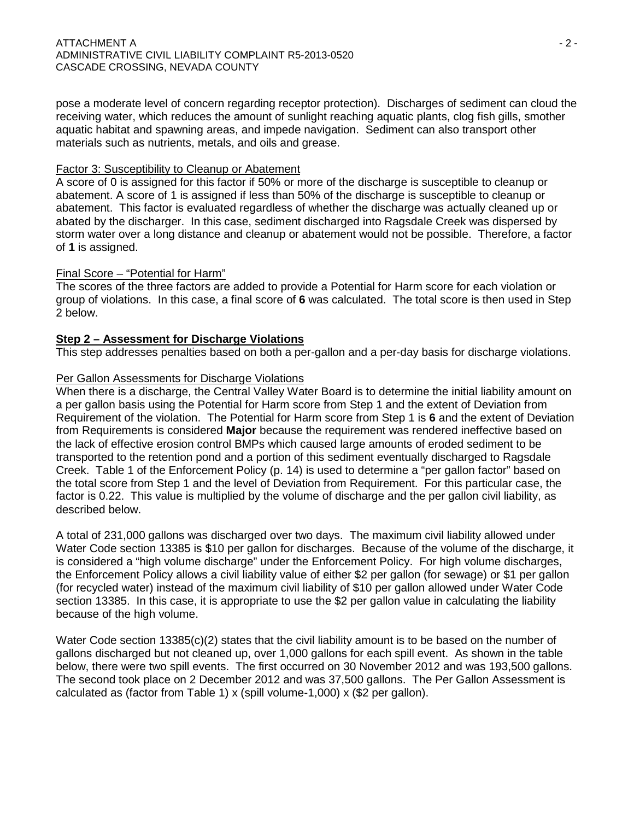pose a moderate level of concern regarding receptor protection). Discharges of sediment can cloud the receiving water, which reduces the amount of sunlight reaching aquatic plants, clog fish gills, smother aquatic habitat and spawning areas, and impede navigation. Sediment can also transport other materials such as nutrients, metals, and oils and grease.

#### Factor 3: Susceptibility to Cleanup or Abatement

A score of 0 is assigned for this factor if 50% or more of the discharge is susceptible to cleanup or abatement. A score of 1 is assigned if less than 50% of the discharge is susceptible to cleanup or abatement. This factor is evaluated regardless of whether the discharge was actually cleaned up or abated by the discharger. In this case, sediment discharged into Ragsdale Creek was dispersed by storm water over a long distance and cleanup or abatement would not be possible. Therefore, a factor of **1** is assigned.

#### Final Score – "Potential for Harm"

The scores of the three factors are added to provide a Potential for Harm score for each violation or group of violations. In this case, a final score of **6** was calculated. The total score is then used in Step 2 below.

## **Step 2 – Assessment for Discharge Violations**

This step addresses penalties based on both a per-gallon and a per-day basis for discharge violations.

#### Per Gallon Assessments for Discharge Violations

When there is a discharge, the Central Valley Water Board is to determine the initial liability amount on a per gallon basis using the Potential for Harm score from Step 1 and the extent of Deviation from Requirement of the violation. The Potential for Harm score from Step 1 is **6** and the extent of Deviation from Requirements is considered **Major** because the requirement was rendered ineffective based on the lack of effective erosion control BMPs which caused large amounts of eroded sediment to be transported to the retention pond and a portion of this sediment eventually discharged to Ragsdale Creek. Table 1 of the Enforcement Policy (p. 14) is used to determine a "per gallon factor" based on the total score from Step 1 and the level of Deviation from Requirement. For this particular case, the factor is 0.22. This value is multiplied by the volume of discharge and the per gallon civil liability, as described below.

A total of 231,000 gallons was discharged over two days. The maximum civil liability allowed under Water Code section 13385 is \$10 per gallon for discharges. Because of the volume of the discharge, it is considered a "high volume discharge" under the Enforcement Policy. For high volume discharges, the Enforcement Policy allows a civil liability value of either \$2 per gallon (for sewage) or \$1 per gallon (for recycled water) instead of the maximum civil liability of \$10 per gallon allowed under Water Code section 13385. In this case, it is appropriate to use the \$2 per gallon value in calculating the liability because of the high volume.

Water Code section 13385(c)(2) states that the civil liability amount is to be based on the number of gallons discharged but not cleaned up, over 1,000 gallons for each spill event. As shown in the table below, there were two spill events. The first occurred on 30 November 2012 and was 193,500 gallons. The second took place on 2 December 2012 and was 37,500 gallons. The Per Gallon Assessment is calculated as (factor from Table 1) x (spill volume-1,000) x (\$2 per gallon).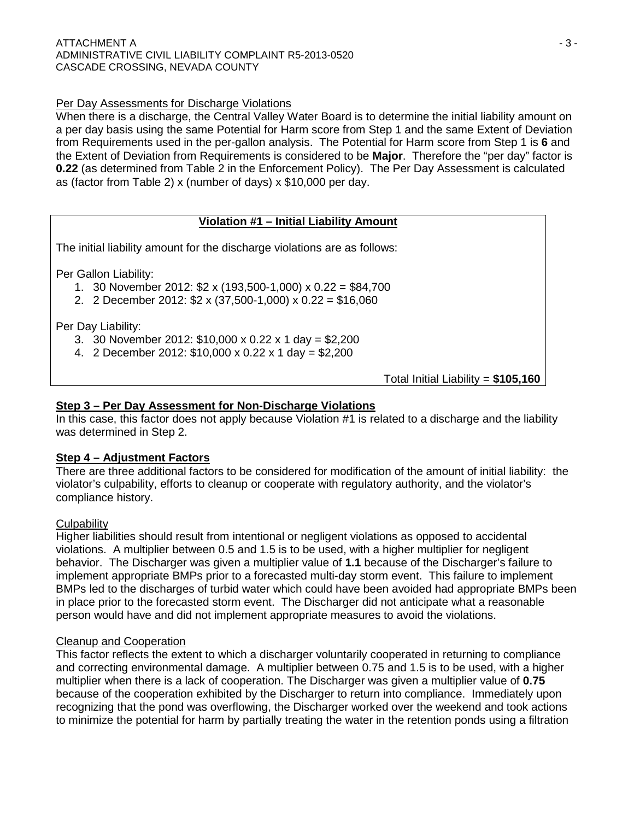# Per Day Assessments for Discharge Violations

When there is a discharge, the Central Valley Water Board is to determine the initial liability amount on a per day basis using the same Potential for Harm score from Step 1 and the same Extent of Deviation from Requirements used in the per-gallon analysis. The Potential for Harm score from Step 1 is **6** and the Extent of Deviation from Requirements is considered to be **Major**. Therefore the "per day" factor is **0.22** (as determined from Table 2 in the Enforcement Policy). The Per Day Assessment is calculated as (factor from Table 2) x (number of days) x \$10,000 per day.

# **Violation #1 – Initial Liability Amount**

The initial liability amount for the discharge violations are as follows:

Per Gallon Liability:

- 1. 30 November 2012: \$2 x (193,500-1,000) x 0.22 = \$84,700
- 2. 2 December 2012: \$2 x (37,500-1,000) x 0.22 = \$16,060

Per Day Liability:

- 3. 30 November 2012: \$10,000 x 0.22 x 1 day = \$2,200
- 4. 2 December 2012: \$10,000 x 0.22 x 1 day = \$2,200

Total Initial Liability = **\$105,160**

# **Step 3 – Per Day Assessment for Non-Discharge Violations**

In this case, this factor does not apply because Violation #1 is related to a discharge and the liability was determined in Step 2.

## **Step 4 – Adjustment Factors**

There are three additional factors to be considered for modification of the amount of initial liability: the violator's culpability, efforts to cleanup or cooperate with regulatory authority, and the violator's compliance history.

## **Culpability**

Higher liabilities should result from intentional or negligent violations as opposed to accidental violations. A multiplier between 0.5 and 1.5 is to be used, with a higher multiplier for negligent behavior. The Discharger was given a multiplier value of **1.1** because of the Discharger's failure to implement appropriate BMPs prior to a forecasted multi-day storm event. This failure to implement BMPs led to the discharges of turbid water which could have been avoided had appropriate BMPs been in place prior to the forecasted storm event. The Discharger did not anticipate what a reasonable person would have and did not implement appropriate measures to avoid the violations.

## Cleanup and Cooperation

This factor reflects the extent to which a discharger voluntarily cooperated in returning to compliance and correcting environmental damage. A multiplier between 0.75 and 1.5 is to be used, with a higher multiplier when there is a lack of cooperation. The Discharger was given a multiplier value of **0.75** because of the cooperation exhibited by the Discharger to return into compliance. Immediately upon recognizing that the pond was overflowing, the Discharger worked over the weekend and took actions to minimize the potential for harm by partially treating the water in the retention ponds using a filtration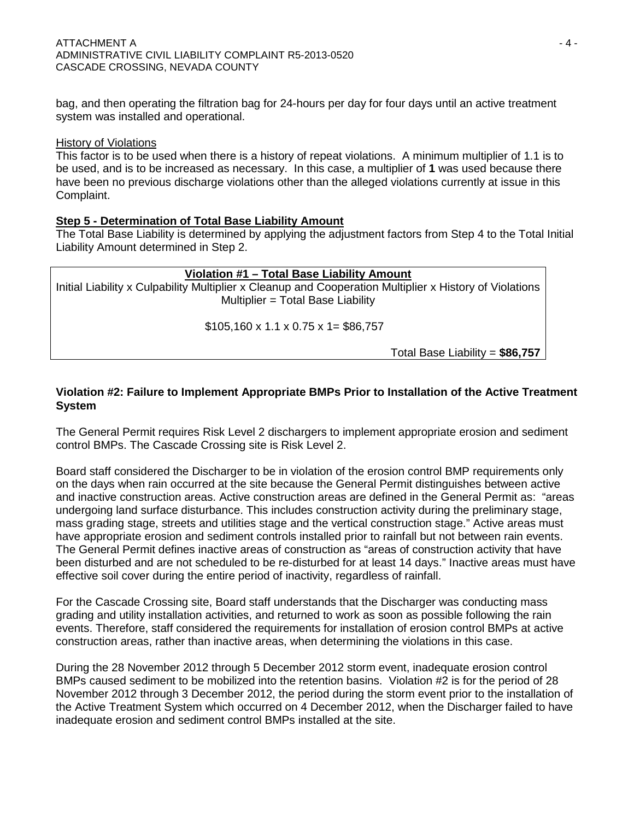bag, and then operating the filtration bag for 24-hours per day for four days until an active treatment system was installed and operational.

#### History of Violations

This factor is to be used when there is a history of repeat violations. A minimum multiplier of 1.1 is to be used, and is to be increased as necessary. In this case, a multiplier of **1** was used because there have been no previous discharge violations other than the alleged violations currently at issue in this Complaint.

## **Step 5 - Determination of Total Base Liability Amount**

The Total Base Liability is determined by applying the adjustment factors from Step 4 to the Total Initial Liability Amount determined in Step 2.

## **Violation #1 – Total Base Liability Amount**

Initial Liability x Culpability Multiplier x Cleanup and Cooperation Multiplier x History of Violations Multiplier = Total Base Liability

 $$105,160 \times 1.1 \times 0.75 \times 1 = $86,757$ 

Total Base Liability = **\$86,757**

## **Violation #2: Failure to Implement Appropriate BMPs Prior to Installation of the Active Treatment System**

The General Permit requires Risk Level 2 dischargers to implement appropriate erosion and sediment control BMPs. The Cascade Crossing site is Risk Level 2.

Board staff considered the Discharger to be in violation of the erosion control BMP requirements only on the days when rain occurred at the site because the General Permit distinguishes between active and inactive construction areas. Active construction areas are defined in the General Permit as: "areas undergoing land surface disturbance. This includes construction activity during the preliminary stage, mass grading stage, streets and utilities stage and the vertical construction stage." Active areas must have appropriate erosion and sediment controls installed prior to rainfall but not between rain events. The General Permit defines inactive areas of construction as "areas of construction activity that have been disturbed and are not scheduled to be re-disturbed for at least 14 days." Inactive areas must have effective soil cover during the entire period of inactivity, regardless of rainfall.

For the Cascade Crossing site, Board staff understands that the Discharger was conducting mass grading and utility installation activities, and returned to work as soon as possible following the rain events. Therefore, staff considered the requirements for installation of erosion control BMPs at active construction areas, rather than inactive areas, when determining the violations in this case.

During the 28 November 2012 through 5 December 2012 storm event, inadequate erosion control BMPs caused sediment to be mobilized into the retention basins. Violation #2 is for the period of 28 November 2012 through 3 December 2012, the period during the storm event prior to the installation of the Active Treatment System which occurred on 4 December 2012, when the Discharger failed to have inadequate erosion and sediment control BMPs installed at the site.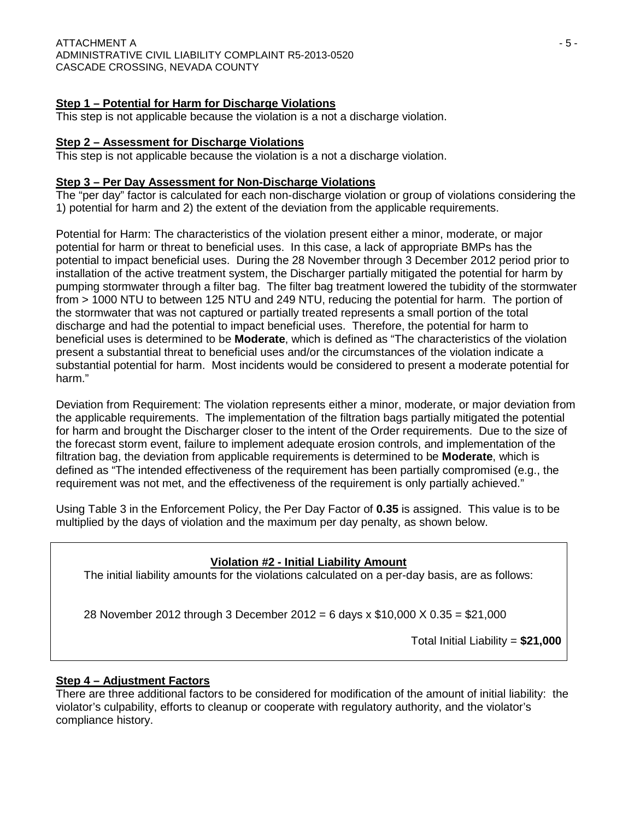# **Step 1 – Potential for Harm for Discharge Violations**

This step is not applicable because the violation is a not a discharge violation.

### **Step 2 – Assessment for Discharge Violations**

This step is not applicable because the violation is a not a discharge violation.

#### **Step 3 – Per Day Assessment for Non-Discharge Violations**

The "per day" factor is calculated for each non-discharge violation or group of violations considering the 1) potential for harm and 2) the extent of the deviation from the applicable requirements.

Potential for Harm: The characteristics of the violation present either a minor, moderate, or major potential for harm or threat to beneficial uses. In this case, a lack of appropriate BMPs has the potential to impact beneficial uses. During the 28 November through 3 December 2012 period prior to installation of the active treatment system, the Discharger partially mitigated the potential for harm by pumping stormwater through a filter bag. The filter bag treatment lowered the tubidity of the stormwater from > 1000 NTU to between 125 NTU and 249 NTU, reducing the potential for harm. The portion of the stormwater that was not captured or partially treated represents a small portion of the total discharge and had the potential to impact beneficial uses. Therefore, the potential for harm to beneficial uses is determined to be **Moderate**, which is defined as "The characteristics of the violation present a substantial threat to beneficial uses and/or the circumstances of the violation indicate a substantial potential for harm. Most incidents would be considered to present a moderate potential for harm."

Deviation from Requirement: The violation represents either a minor, moderate, or major deviation from the applicable requirements. The implementation of the filtration bags partially mitigated the potential for harm and brought the Discharger closer to the intent of the Order requirements. Due to the size of the forecast storm event, failure to implement adequate erosion controls, and implementation of the filtration bag, the deviation from applicable requirements is determined to be **Moderate**, which is defined as "The intended effectiveness of the requirement has been partially compromised (e.g., the requirement was not met, and the effectiveness of the requirement is only partially achieved."

Using Table 3 in the Enforcement Policy, the Per Day Factor of **0.35** is assigned. This value is to be multiplied by the days of violation and the maximum per day penalty, as shown below.

## **Violation #2 - Initial Liability Amount**

The initial liability amounts for the violations calculated on a per-day basis, are as follows:

28 November 2012 through 3 December 2012 = 6 days x \$10,000 X 0.35 = \$21,000

Total Initial Liability = **\$21,000**

## **Step 4 – Adjustment Factors**

There are three additional factors to be considered for modification of the amount of initial liability: the violator's culpability, efforts to cleanup or cooperate with regulatory authority, and the violator's compliance history.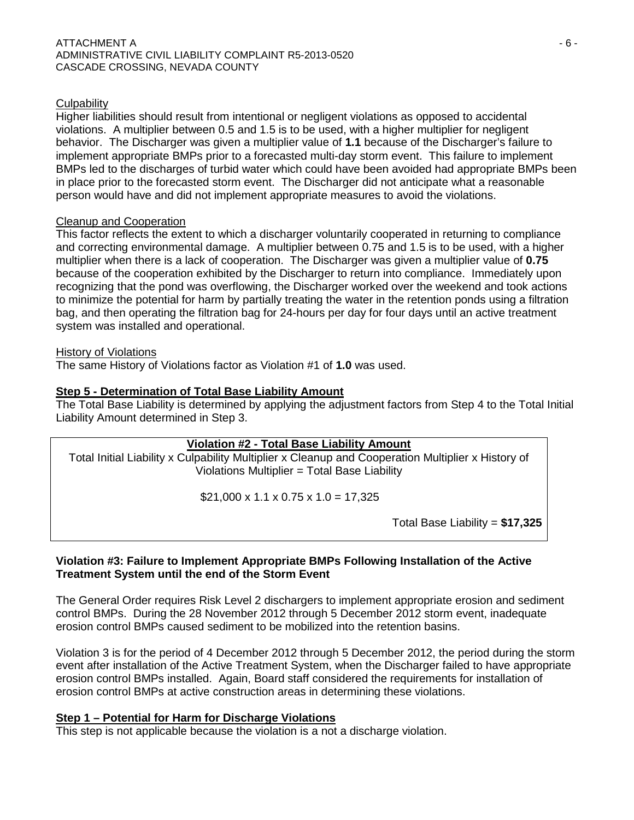### **Culpability**

Higher liabilities should result from intentional or negligent violations as opposed to accidental violations. A multiplier between 0.5 and 1.5 is to be used, with a higher multiplier for negligent behavior. The Discharger was given a multiplier value of **1.1** because of the Discharger's failure to implement appropriate BMPs prior to a forecasted multi-day storm event. This failure to implement BMPs led to the discharges of turbid water which could have been avoided had appropriate BMPs been in place prior to the forecasted storm event. The Discharger did not anticipate what a reasonable person would have and did not implement appropriate measures to avoid the violations.

#### Cleanup and Cooperation

This factor reflects the extent to which a discharger voluntarily cooperated in returning to compliance and correcting environmental damage. A multiplier between 0.75 and 1.5 is to be used, with a higher multiplier when there is a lack of cooperation. The Discharger was given a multiplier value of **0.75** because of the cooperation exhibited by the Discharger to return into compliance. Immediately upon recognizing that the pond was overflowing, the Discharger worked over the weekend and took actions to minimize the potential for harm by partially treating the water in the retention ponds using a filtration bag, and then operating the filtration bag for 24-hours per day for four days until an active treatment system was installed and operational.

#### History of Violations

The same History of Violations factor as Violation #1 of **1.0** was used.

#### **Step 5 - Determination of Total Base Liability Amount**

The Total Base Liability is determined by applying the adjustment factors from Step 4 to the Total Initial Liability Amount determined in Step 3.

#### **Violation #2 - Total Base Liability Amount**

Total Initial Liability x Culpability Multiplier x Cleanup and Cooperation Multiplier x History of Violations Multiplier = Total Base Liability

 $$21,000 \times 1.1 \times 0.75 \times 1.0 = 17,325$ 

Total Base Liability = **\$17,325**

#### **Violation #3: Failure to Implement Appropriate BMPs Following Installation of the Active Treatment System until the end of the Storm Event**

The General Order requires Risk Level 2 dischargers to implement appropriate erosion and sediment control BMPs. During the 28 November 2012 through 5 December 2012 storm event, inadequate erosion control BMPs caused sediment to be mobilized into the retention basins.

Violation 3 is for the period of 4 December 2012 through 5 December 2012, the period during the storm event after installation of the Active Treatment System, when the Discharger failed to have appropriate erosion control BMPs installed. Again, Board staff considered the requirements for installation of erosion control BMPs at active construction areas in determining these violations.

## **Step 1 – Potential for Harm for Discharge Violations**

This step is not applicable because the violation is a not a discharge violation.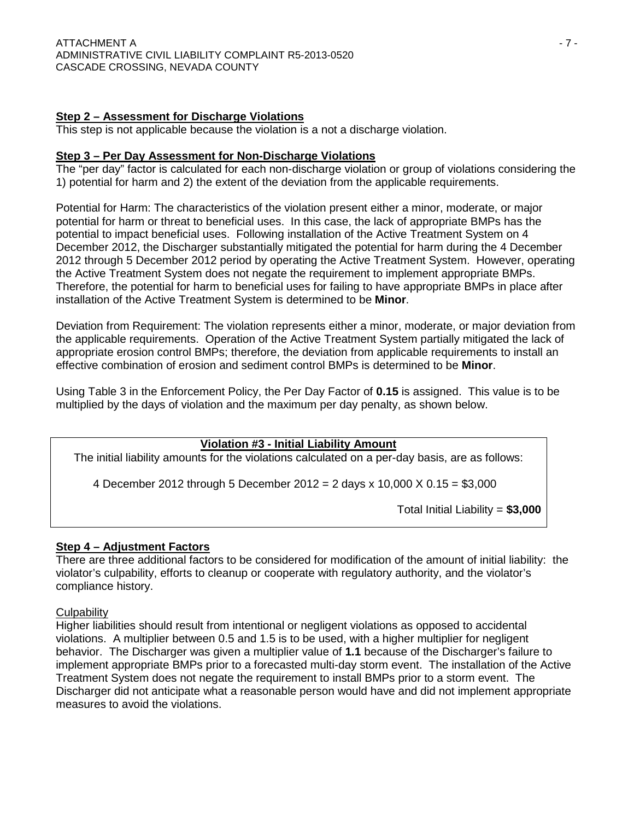# **Step 2 – Assessment for Discharge Violations**

This step is not applicable because the violation is a not a discharge violation.

### **Step 3 – Per Day Assessment for Non-Discharge Violations**

The "per day" factor is calculated for each non-discharge violation or group of violations considering the 1) potential for harm and 2) the extent of the deviation from the applicable requirements.

Potential for Harm: The characteristics of the violation present either a minor, moderate, or major potential for harm or threat to beneficial uses. In this case, the lack of appropriate BMPs has the potential to impact beneficial uses. Following installation of the Active Treatment System on 4 December 2012, the Discharger substantially mitigated the potential for harm during the 4 December 2012 through 5 December 2012 period by operating the Active Treatment System. However, operating the Active Treatment System does not negate the requirement to implement appropriate BMPs. Therefore, the potential for harm to beneficial uses for failing to have appropriate BMPs in place after installation of the Active Treatment System is determined to be **Minor**.

Deviation from Requirement: The violation represents either a minor, moderate, or major deviation from the applicable requirements. Operation of the Active Treatment System partially mitigated the lack of appropriate erosion control BMPs; therefore, the deviation from applicable requirements to install an effective combination of erosion and sediment control BMPs is determined to be **Minor**.

Using Table 3 in the Enforcement Policy, the Per Day Factor of **0.15** is assigned. This value is to be multiplied by the days of violation and the maximum per day penalty, as shown below.

## **Violation #3 - Initial Liability Amount**

The initial liability amounts for the violations calculated on a per-day basis, are as follows:

4 December 2012 through 5 December 2012 = 2 days x 10,000 X 0.15 = \$3,000

Total Initial Liability = **\$3,000**

## **Step 4 – Adjustment Factors**

There are three additional factors to be considered for modification of the amount of initial liability: the violator's culpability, efforts to cleanup or cooperate with regulatory authority, and the violator's compliance history.

## **Culpability**

Higher liabilities should result from intentional or negligent violations as opposed to accidental violations. A multiplier between 0.5 and 1.5 is to be used, with a higher multiplier for negligent behavior. The Discharger was given a multiplier value of **1.1** because of the Discharger's failure to implement appropriate BMPs prior to a forecasted multi-day storm event. The installation of the Active Treatment System does not negate the requirement to install BMPs prior to a storm event. The Discharger did not anticipate what a reasonable person would have and did not implement appropriate measures to avoid the violations.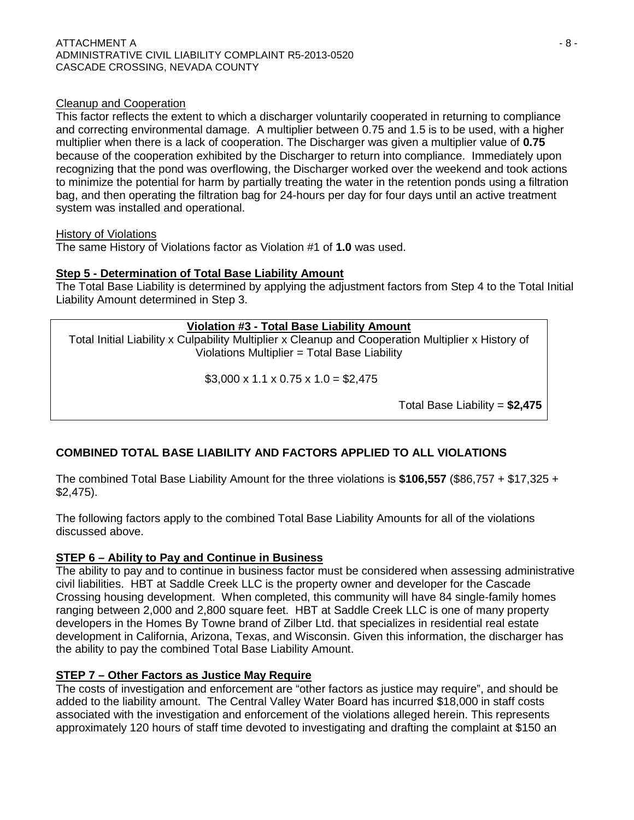### Cleanup and Cooperation

This factor reflects the extent to which a discharger voluntarily cooperated in returning to compliance and correcting environmental damage. A multiplier between 0.75 and 1.5 is to be used, with a higher multiplier when there is a lack of cooperation. The Discharger was given a multiplier value of **0.75** because of the cooperation exhibited by the Discharger to return into compliance. Immediately upon recognizing that the pond was overflowing, the Discharger worked over the weekend and took actions to minimize the potential for harm by partially treating the water in the retention ponds using a filtration bag, and then operating the filtration bag for 24-hours per day for four days until an active treatment system was installed and operational.

#### History of Violations

The same History of Violations factor as Violation #1 of **1.0** was used.

## **Step 5 - Determination of Total Base Liability Amount**

The Total Base Liability is determined by applying the adjustment factors from Step 4 to the Total Initial Liability Amount determined in Step 3.

## **Violation #3 - Total Base Liability Amount**

Total Initial Liability x Culpability Multiplier x Cleanup and Cooperation Multiplier x History of Violations Multiplier = Total Base Liability

 $$3,000 \times 1.1 \times 0.75 \times 1.0 = $2,475$ 

Total Base Liability = **\$2,475**

# **COMBINED TOTAL BASE LIABILITY AND FACTORS APPLIED TO ALL VIOLATIONS**

The combined Total Base Liability Amount for the three violations is **\$106,557** (\$86,757 + \$17,325 + \$2,475).

The following factors apply to the combined Total Base Liability Amounts for all of the violations discussed above.

## **STEP 6 – Ability to Pay and Continue in Business**

The ability to pay and to continue in business factor must be considered when assessing administrative civil liabilities. HBT at Saddle Creek LLC is the property owner and developer for the Cascade Crossing housing development. When completed, this community will have 84 single-family homes ranging between 2,000 and 2,800 square feet. HBT at Saddle Creek LLC is one of many property developers in the Homes By Towne brand of Zilber Ltd. that specializes in residential real estate development in California, Arizona, Texas, and Wisconsin. Given this information, the discharger has the ability to pay the combined Total Base Liability Amount.

## **STEP 7 – Other Factors as Justice May Require**

The costs of investigation and enforcement are "other factors as justice may require", and should be added to the liability amount. The Central Valley Water Board has incurred \$18,000 in staff costs associated with the investigation and enforcement of the violations alleged herein. This represents approximately 120 hours of staff time devoted to investigating and drafting the complaint at \$150 an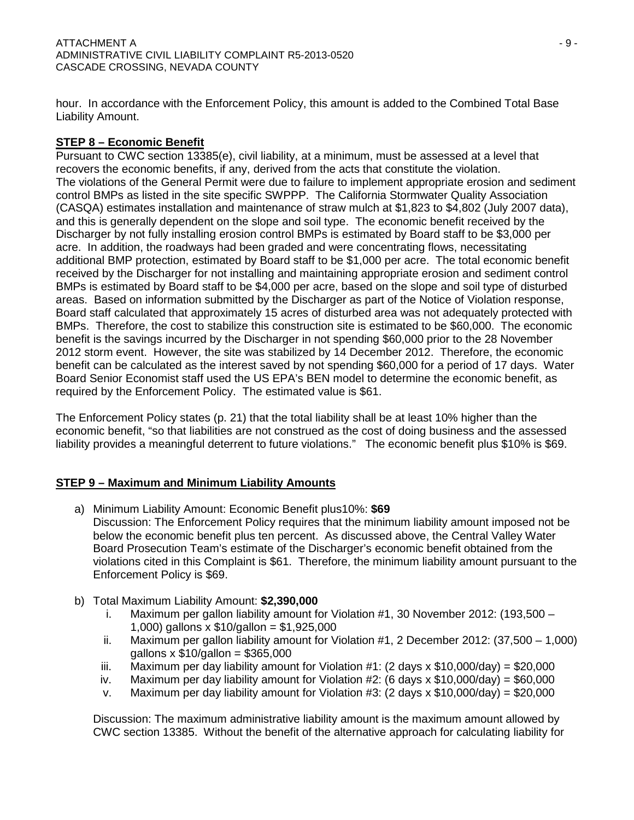hour. In accordance with the Enforcement Policy, this amount is added to the Combined Total Base Liability Amount.

# **STEP 8 – Economic Benefit**

Pursuant to CWC section 13385(e), civil liability, at a minimum, must be assessed at a level that recovers the economic benefits, if any, derived from the acts that constitute the violation. The violations of the General Permit were due to failure to implement appropriate erosion and sediment control BMPs as listed in the site specific SWPPP. The California Stormwater Quality Association (CASQA) estimates installation and maintenance of straw mulch at \$1,823 to \$4,802 (July 2007 data), and this is generally dependent on the slope and soil type. The economic benefit received by the Discharger by not fully installing erosion control BMPs is estimated by Board staff to be \$3,000 per acre. In addition, the roadways had been graded and were concentrating flows, necessitating additional BMP protection, estimated by Board staff to be \$1,000 per acre. The total economic benefit received by the Discharger for not installing and maintaining appropriate erosion and sediment control BMPs is estimated by Board staff to be \$4,000 per acre, based on the slope and soil type of disturbed areas. Based on information submitted by the Discharger as part of the Notice of Violation response, Board staff calculated that approximately 15 acres of disturbed area was not adequately protected with BMPs. Therefore, the cost to stabilize this construction site is estimated to be \$60,000. The economic benefit is the savings incurred by the Discharger in not spending \$60,000 prior to the 28 November 2012 storm event. However, the site was stabilized by 14 December 2012. Therefore, the economic benefit can be calculated as the interest saved by not spending \$60,000 for a period of 17 days. Water Board Senior Economist staff used the US EPA's BEN model to determine the economic benefit, as required by the Enforcement Policy. The estimated value is \$61.

The Enforcement Policy states (p. 21) that the total liability shall be at least 10% higher than the economic benefit, "so that liabilities are not construed as the cost of doing business and the assessed liability provides a meaningful deterrent to future violations." The economic benefit plus \$10% is \$69.

# **STEP 9 – Maximum and Minimum Liability Amounts**

- a) Minimum Liability Amount: Economic Benefit plus10%: **\$69** Discussion: The Enforcement Policy requires that the minimum liability amount imposed not be below the economic benefit plus ten percent. As discussed above, the Central Valley Water Board Prosecution Team's estimate of the Discharger's economic benefit obtained from the violations cited in this Complaint is \$61. Therefore, the minimum liability amount pursuant to the Enforcement Policy is \$69.
- b) Total Maximum Liability Amount: **\$2,390,000**
	- i. Maximum per gallon liability amount for Violation #1, 30 November 2012: (193,500 1,000) gallons x \$10/gallon = \$1,925,000
	- ii. Maximum per gallon liability amount for Violation #1, 2 December 2012: (37,500 1,000) qallons  $x \text{ } $10$ /gallon = \$365,000
	- iii. Maximum per day liability amount for Violation  $\#1$ : (2 days x \$10,000/day) = \$20,000
	- iv. Maximum per day liability amount for Violation  $\#2$ : (6 days x \$10,000/day) = \$60,000
	- v. Maximum per day liability amount for Violation #3: (2 days  $x$  \$10,000/day) = \$20,000

Discussion: The maximum administrative liability amount is the maximum amount allowed by CWC section 13385. Without the benefit of the alternative approach for calculating liability for